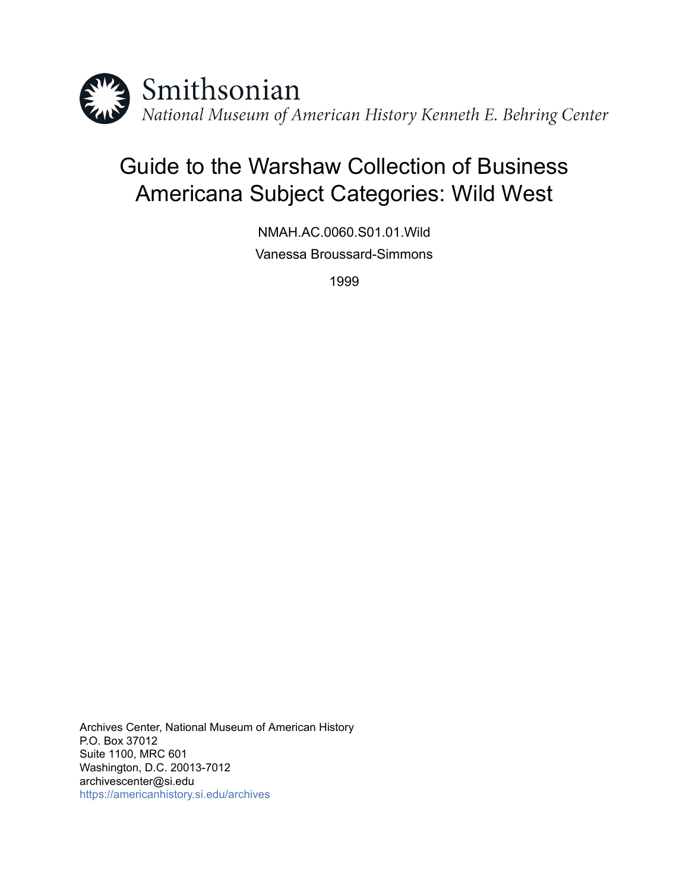

# Guide to the Warshaw Collection of Business Americana Subject Categories: Wild West

NMAH.AC.0060.S01.01.Wild Vanessa Broussard-Simmons

1999

Archives Center, National Museum of American History P.O. Box 37012 Suite 1100, MRC 601 Washington, D.C. 20013-7012 archivescenter@si.edu <https://americanhistory.si.edu/archives>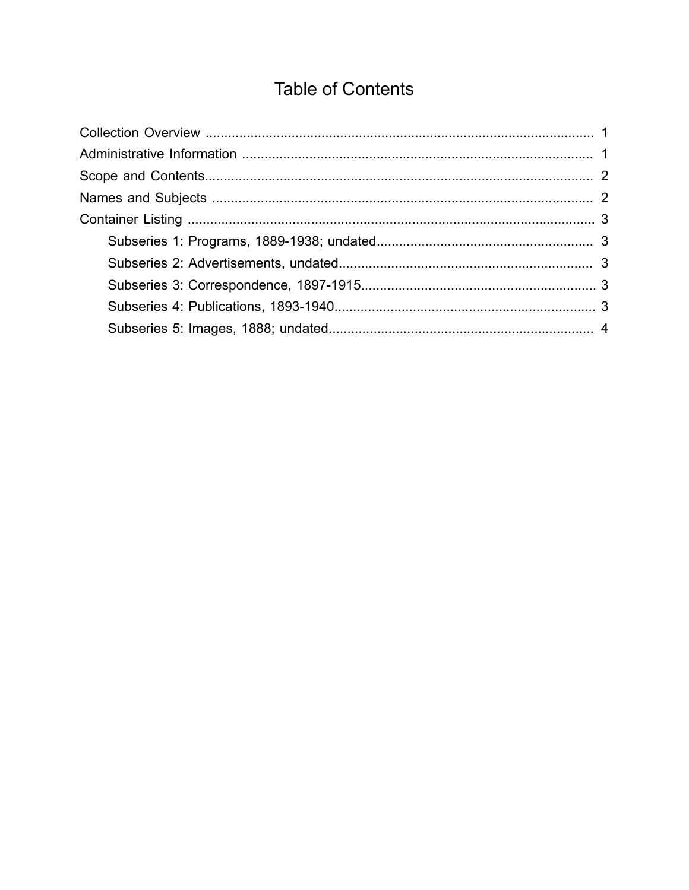## **Table of Contents**

<span id="page-1-0"></span>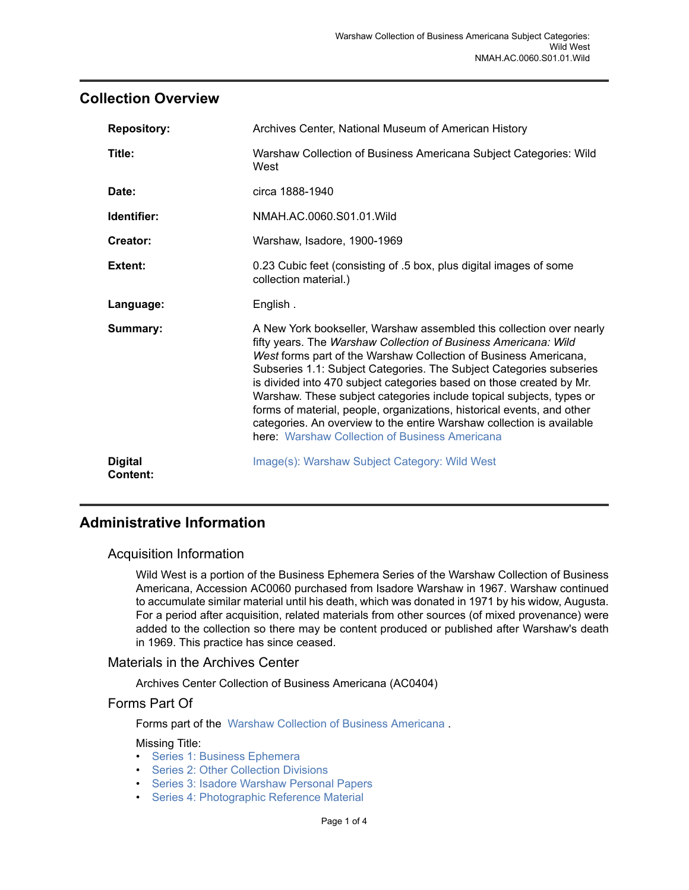## <span id="page-2-0"></span>**Collection Overview**

| <b>Repository:</b>                | Archives Center, National Museum of American History                                                                                                                                                                                                                                                                                                                                                                                                                                                                                                                                                                                    |
|-----------------------------------|-----------------------------------------------------------------------------------------------------------------------------------------------------------------------------------------------------------------------------------------------------------------------------------------------------------------------------------------------------------------------------------------------------------------------------------------------------------------------------------------------------------------------------------------------------------------------------------------------------------------------------------------|
| Title:                            | Warshaw Collection of Business Americana Subject Categories: Wild<br>West                                                                                                                                                                                                                                                                                                                                                                                                                                                                                                                                                               |
| Date:                             | circa 1888-1940                                                                                                                                                                                                                                                                                                                                                                                                                                                                                                                                                                                                                         |
| Identifier:                       | NMAH.AC.0060.S01.01. Wild                                                                                                                                                                                                                                                                                                                                                                                                                                                                                                                                                                                                               |
| Creator:                          | Warshaw, Isadore, 1900-1969                                                                                                                                                                                                                                                                                                                                                                                                                                                                                                                                                                                                             |
| Extent:                           | 0.23 Cubic feet (consisting of .5 box, plus digital images of some<br>collection material.)                                                                                                                                                                                                                                                                                                                                                                                                                                                                                                                                             |
| Language:                         | English.                                                                                                                                                                                                                                                                                                                                                                                                                                                                                                                                                                                                                                |
| Summary:                          | A New York bookseller, Warshaw assembled this collection over nearly<br>fifty years. The Warshaw Collection of Business Americana: Wild<br>West forms part of the Warshaw Collection of Business Americana,<br>Subseries 1.1: Subject Categories. The Subject Categories subseries<br>is divided into 470 subject categories based on those created by Mr.<br>Warshaw. These subject categories include topical subjects, types or<br>forms of material, people, organizations, historical events, and other<br>categories. An overview to the entire Warshaw collection is available<br>here: Warshaw Collection of Business Americana |
| <b>Digital</b><br><b>Content:</b> | Image(s): Warshaw Subject Category: Wild West                                                                                                                                                                                                                                                                                                                                                                                                                                                                                                                                                                                           |

## <span id="page-2-1"></span>**Administrative Information**

#### Acquisition Information

Wild West is a portion of the Business Ephemera Series of the Warshaw Collection of Business Americana, Accession AC0060 purchased from Isadore Warshaw in 1967. Warshaw continued to accumulate similar material until his death, which was donated in 1971 by his widow, Augusta. For a period after acquisition, related materials from other sources (of mixed provenance) were added to the collection so there may be content produced or published after Warshaw's death in 1969. This practice has since ceased.

## Materials in the Archives Center

Archives Center Collection of Business Americana (AC0404)

#### Forms Part Of

Forms part of the Warshaw Collection of Business [Americana](http://sova.si.edu/record/NMAH.AC.0060) .

#### Missing Title:

- [Series 1: Business Ephemera](http://sova.si.edu/record/NMAH.AC.0060.S01)
- [Series 2: Other Collection Divisions](http://sova.si.edu/record/NMAH.AC.0060.S02)
- Series 3: Isadore [Warshaw](http://sova.si.edu/record/NMAH.AC.0060.S03) Personal Papers
- [Series 4: Photographic Reference Material](http://sova.si.edu/record/NMAH.AC.0060.S04)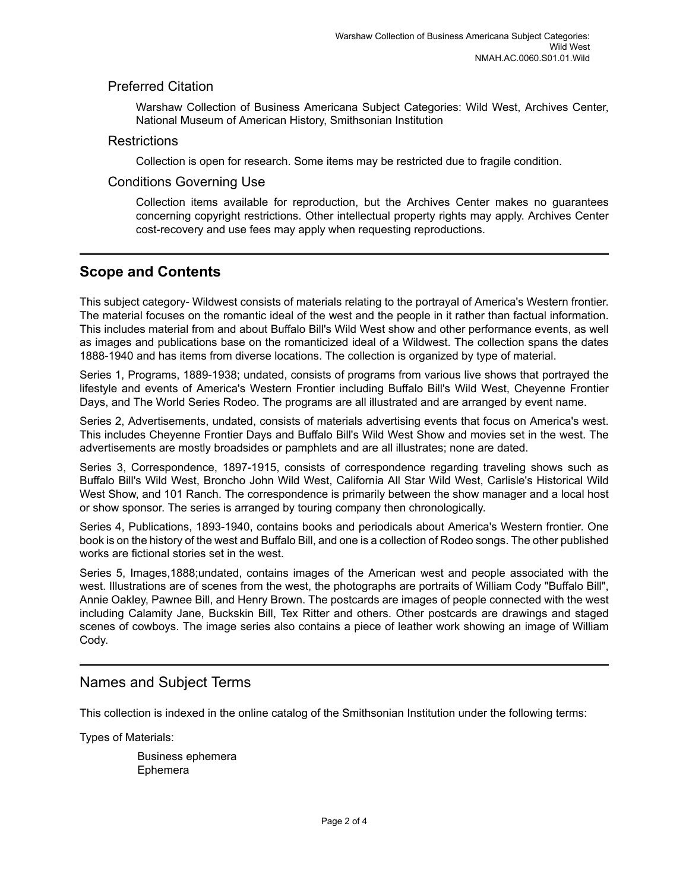#### Preferred Citation

Warshaw Collection of Business Americana Subject Categories: Wild West, Archives Center, National Museum of American History, Smithsonian Institution

#### **Restrictions**

Collection is open for research. Some items may be restricted due to fragile condition.

#### Conditions Governing Use

Collection items available for reproduction, but the Archives Center makes no guarantees concerning copyright restrictions. Other intellectual property rights may apply. Archives Center cost-recovery and use fees may apply when requesting reproductions.

## <span id="page-3-0"></span>**Scope and Contents**

This subject category- Wildwest consists of materials relating to the portrayal of America's Western frontier. The material focuses on the romantic ideal of the west and the people in it rather than factual information. This includes material from and about Buffalo Bill's Wild West show and other performance events, as well as images and publications base on the romanticized ideal of a Wildwest. The collection spans the dates 1888-1940 and has items from diverse locations. The collection is organized by type of material.

Series 1, Programs, 1889-1938; undated, consists of programs from various live shows that portrayed the lifestyle and events of America's Western Frontier including Buffalo Bill's Wild West, Cheyenne Frontier Days, and The World Series Rodeo. The programs are all illustrated and are arranged by event name.

Series 2, Advertisements, undated, consists of materials advertising events that focus on America's west. This includes Cheyenne Frontier Days and Buffalo Bill's Wild West Show and movies set in the west. The advertisements are mostly broadsides or pamphlets and are all illustrates; none are dated.

Series 3, Correspondence, 1897-1915, consists of correspondence regarding traveling shows such as Buffalo Bill's Wild West, Broncho John Wild West, California All Star Wild West, Carlisle's Historical Wild West Show, and 101 Ranch. The correspondence is primarily between the show manager and a local host or show sponsor. The series is arranged by touring company then chronologically.

Series 4, Publications, 1893-1940, contains books and periodicals about America's Western frontier. One book is on the history of the west and Buffalo Bill, and one is a collection of Rodeo songs. The other published works are fictional stories set in the west.

Series 5, Images,1888;undated, contains images of the American west and people associated with the west. Illustrations are of scenes from the west, the photographs are portraits of William Cody "Buffalo Bill", Annie Oakley, Pawnee Bill, and Henry Brown. The postcards are images of people connected with the west including Calamity Jane, Buckskin Bill, Tex Ritter and others. Other postcards are drawings and staged scenes of cowboys. The image series also contains a piece of leather work showing an image of William Cody.

## <span id="page-3-1"></span>Names and Subject Terms

This collection is indexed in the online catalog of the Smithsonian Institution under the following terms:

Types of Materials:

Business ephemera Ephemera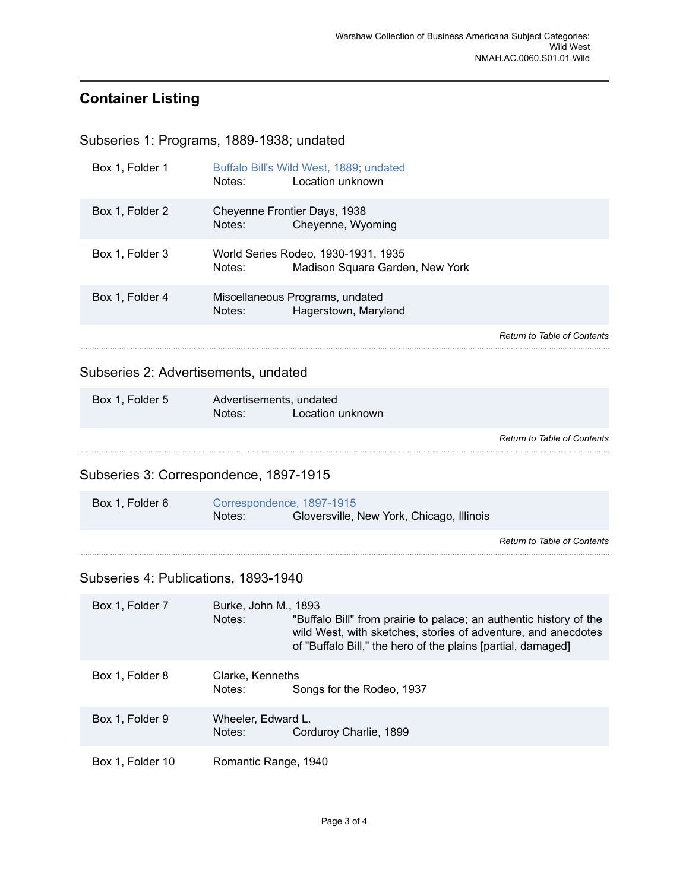## <span id="page-4-0"></span>**Container Listing**

<span id="page-4-1"></span>Subseries 1: Programs, 1889-1938; undated

| Box 1, Folder 1 | Buffalo Bill's Wild West, 1889; undated<br>Location unknown<br>Notes:            |                                    |
|-----------------|----------------------------------------------------------------------------------|------------------------------------|
| Box 1, Folder 2 | Cheyenne Frontier Days, 1938<br>Cheyenne, Wyoming<br>Notes:                      |                                    |
| Box 1. Folder 3 | World Series Rodeo, 1930-1931, 1935<br>Madison Square Garden, New York<br>Notes: |                                    |
| Box 1, Folder 4 | Miscellaneous Programs, undated<br>Hagerstown, Maryland<br>Notes:                |                                    |
|                 |                                                                                  | <b>Return to Table of Contents</b> |
|                 |                                                                                  |                                    |

## <span id="page-4-2"></span>Subseries 2: Advertisements, undated

| Box 1, Folder 5 | Advertisements, undated |                  |
|-----------------|-------------------------|------------------|
|                 | Notes:                  | Location unknown |
|                 |                         |                  |
|                 |                         |                  |

*Return to Table of [Contents](#page-1-0)* 

## <span id="page-4-3"></span>Subseries 3: Correspondence, 1897-1915

| Box 1. Folder 6 | Correspondence, 1897-1915 |                                           |  |
|-----------------|---------------------------|-------------------------------------------|--|
|                 | Notes:                    | Gloversville, New York, Chicago, Illinois |  |

*Return to Table of [Contents](#page-1-0)*

## <span id="page-4-4"></span>Subseries 4: Publications, 1893-1940

| Box 1, Folder 7  | Burke, John M., 1893<br>Notes: | "Buffalo Bill" from prairie to palace; an authentic history of the<br>wild West, with sketches, stories of adventure, and anecdotes<br>of "Buffalo Bill," the hero of the plains [partial, damaged] |
|------------------|--------------------------------|-----------------------------------------------------------------------------------------------------------------------------------------------------------------------------------------------------|
| Box 1, Folder 8  | Clarke, Kenneths<br>Notes:     | Songs for the Rodeo, 1937                                                                                                                                                                           |
| Box 1, Folder 9  | Wheeler, Edward L.<br>Notes:   | Corduroy Charlie, 1899                                                                                                                                                                              |
| Box 1, Folder 10 | Romantic Range, 1940           |                                                                                                                                                                                                     |